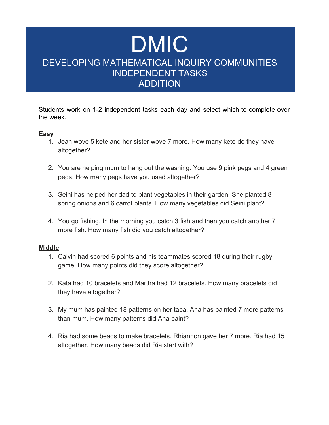# DMIC DEVELOPING MATHEMATICAL INQUIRY COMMUNITIES INDEPENDENT TASKS ADDITION

Students work on 1-2 independent tasks each day and select which to complete over the week.

### **Easy**

- 1. Jean wove 5 kete and her sister wove 7 more. How many kete do they have altogether?
- 2. You are helping mum to hang out the washing. You use 9 pink pegs and 4 green pegs. How many pegs have you used altogether?
- 3. Seini has helped her dad to plant vegetables in their garden. She planted 8 spring onions and 6 carrot plants. How many vegetables did Seini plant?
- 4. You go fishing. In the morning you catch 3 fish and then you catch another 7 more fish. How many fish did you catch altogether?

#### **Middle**

- 1. Calvin had scored 6 points and his teammates scored 18 during their rugby game. How many points did they score altogether?
- 2. Kata had 10 bracelets and Martha had 12 bracelets. How many bracelets did they have altogether?
- 3. My mum has painted 18 patterns on her tapa. Ana has painted 7 more patterns than mum. How many patterns did Ana paint?
- 4. Ria had some beads to make bracelets. Rhiannon gave her 7 more. Ria had 15 altogether. How many beads did Ria start with?